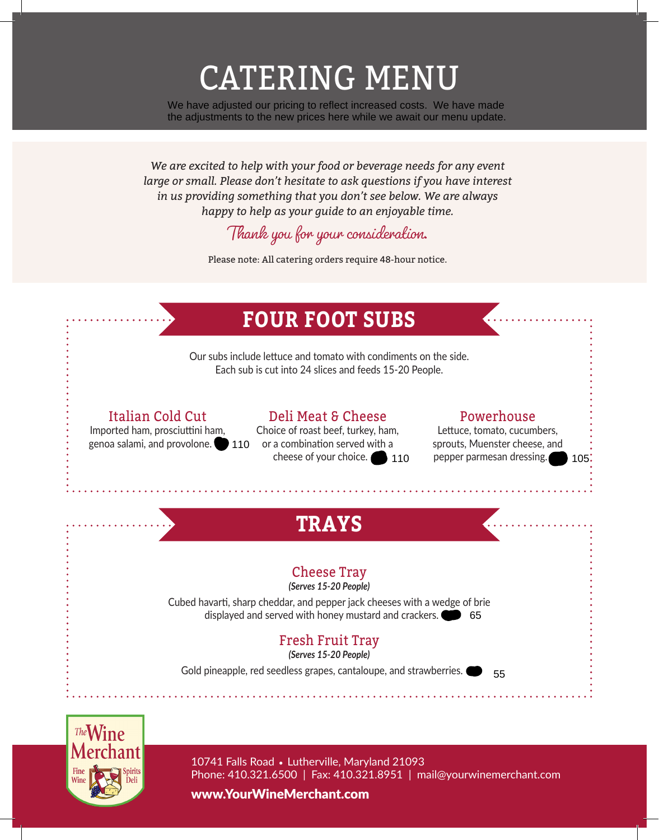# CATERING MENU

We have adjusted our pricing to reflect increased costs. We have made the adjustments to the new prices here while we await our menu update.

*We are excited to help with your food or beverage needs for any event large or small. Please don't hesitate to ask questions if you have interest in us providing something that you don't see below. We are always happy to help as your guide to an enjoyable time.* 

## Thank you for your consideration.

Please note: All catering orders require 48-hour notice.





10741 Falls Road • Lutherville, Maryland 21093 Phone: 410.321.6500 | Fax: 410.321.8951 | mail@yourwinemerchant.com

www.YourWineMerchant.com